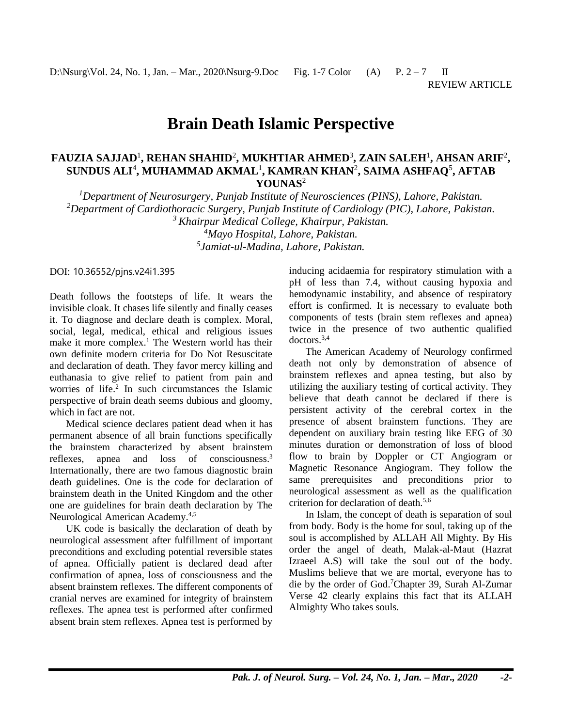# **Brain Death Islamic Perspective**

## **FAUZIA SAJJAD**<sup>1</sup> **, REHAN SHAHID**<sup>2</sup> **, MUKHTIAR AHMED**<sup>3</sup> **, ZAIN SALEH**<sup>1</sup> **, AHSAN ARIF**<sup>2</sup> **, SUNDUS ALI**<sup>4</sup> **, MUHAMMAD AKMAL**<sup>1</sup> **, KAMRAN KHAN**<sup>2</sup> **, SAIMA ASHFAQ**<sup>5</sup> **, AFTAB YOUNAS**<sup>2</sup>

*<sup>1</sup>Department of Neurosurgery, Punjab Institute of Neurosciences (PINS), Lahore, Pakistan. <sup>2</sup>Department of Cardiothoracic Surgery, Punjab Institute of Cardiology (PIC), Lahore, Pakistan. <sup>3</sup>Khairpur Medical College, Khairpur, Pakistan.*

*<sup>4</sup>Mayo Hospital, Lahore, Pakistan. 5 Jamiat-ul-Madina, Lahore, Pakistan.*

DOI: 10.36552/pjns.v24i1.395

Death follows the footsteps of life. It wears the invisible cloak. It chases life silently and finally ceases it. To diagnose and declare death is complex. Moral, social, legal, medical, ethical and religious issues make it more complex. <sup>1</sup> The Western world has their own definite modern criteria for Do Not Resuscitate and declaration of death. They favor mercy killing and euthanasia to give relief to patient from pain and worries of life. 2 In such circumstances the Islamic perspective of brain death seems dubious and gloomy, which in fact are not.

Medical science declares patient dead when it has permanent absence of all brain functions specifically the brainstem characterized by absent brainstem reflexes, apnea and loss of consciousness. 3 Internationally, there are two famous diagnostic brain death guidelines. One is the code for declaration of brainstem death in the United Kingdom and the other one are guidelines for brain death declaration by The Neurological American Academy.<sup>4,5</sup>

UK code is basically the declaration of death by neurological assessment after fulfillment of important preconditions and excluding potential reversible states of apnea. Officially patient is declared dead after confirmation of apnea, loss of consciousness and the absent brainstem reflexes. The different components of cranial nerves are examined for integrity of brainstem reflexes. The apnea test is performed after confirmed absent brain stem reflexes. Apnea test is performed by

inducing acidaemia for respiratory stimulation with a pH of less than 7.4, without causing hypoxia and hemodynamic instability, and absence of respiratory effort is confirmed. It is necessary to evaluate both components of tests (brain stem reflexes and apnea) twice in the presence of two authentic qualified doctors.3,4

The American Academy of Neurology confirmed death not only by demonstration of absence of brainstem reflexes and apnea testing, but also by utilizing the auxiliary testing of cortical activity. They believe that death cannot be declared if there is persistent activity of the cerebral cortex in the presence of absent brainstem functions. They are dependent on auxiliary brain testing like EEG of 30 minutes duration or demonstration of loss of blood flow to brain by Doppler or CT Angiogram or Magnetic Resonance Angiogram. They follow the same prerequisites and preconditions prior to neurological assessment as well as the qualification criterion for declaration of death.5,6

In Islam, the concept of death is separation of soul from body. Body is the home for soul, taking up of the soul is accomplished by ALLAH All Mighty. By His order the angel of death, Malak-al-Maut (Hazrat Izraeel A.S) will take the soul out of the body. Muslims believe that we are mortal, everyone has to die by the order of God. <sup>7</sup>Chapter 39, Surah Al-Zumar Verse 42 clearly explains this fact that its ALLAH Almighty Who takes souls.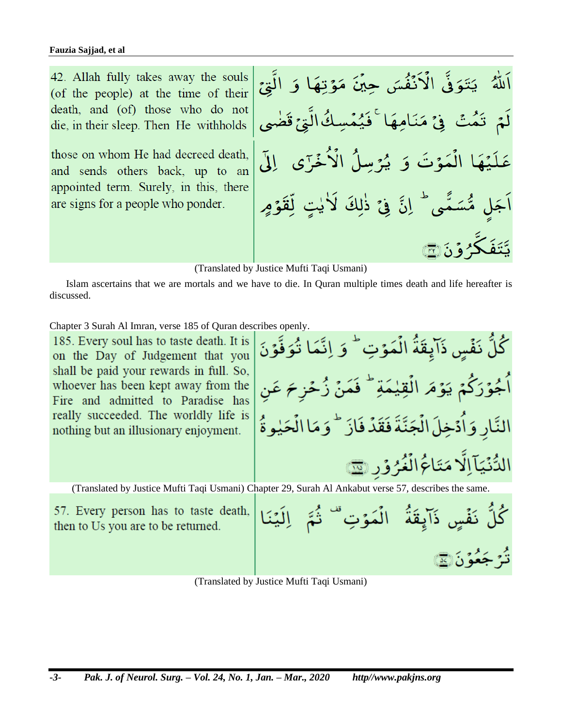42. Allah fully takes away the souls (of the people) at the time of their death, and (of) those who do not die, in their sleep. Then He withholds

those on whom He had decreed death. and sends others back, up to an appointed term. Surely, in this, there are signs for a people who ponder.

يَتَوَفَّى الْأَنۡفُسَ حِيۡنَ مَوۡتِهَا وَ الَّٰتِيۡ كَفَيْمَسِكُ الَّٰةِ مَقَظُّ تَمُتۡ فِيۡ مَنَامِهِ عَلَيْهَا الْمَوْتَ وَ يُرۡسِلُ الۡا مُّسَمَّى ۖ إنَّ فِى ذٰلِكَ لَاٰيٰتٍ لِّقَوۡمِ ڴۯۏؘؽؘ۞

(Translated by Justice Mufti Taqi Usmani)

Islam ascertains that we are mortals and we have to die. In Quran multiple times death and life hereafter is discussed.

Chapter 3 Surah Al Imran, verse 185 of Quran describes openly.

185. Every soul has to taste death. It is on the Day of Judgement that you shall be paid your rewards in full. So, whoever has been kept away from the Fire and admitted to Paradise has really succeeded. The worldly life is nothing but an illusionary enjoyment.

كُلَّ نَفۡسٍ ذَآيقَةُ الۡمَوۡتِ ۖ وَ اِنَّمَا تُوَفَّوۡنَ أَجُوۡرَكُمۡ يَوۡمَ الۡقِيٰمَةِ ۖ فَمَنۡ زُحۡن ۖ عَن النَّارِ وَاَدۡخِلَ الۡجَنَّةَ فَقَدۡ فَازَ  $^+$  وَمَا الۡحَلِوةُ الدُّنۡيَآاِلَا مَتَاعُ الۡغُرُوۡر

(Translated by Justice Mufti Taqi Usmani) Chapter 29, Surah Al Ankabut verse 57, describes the same.

57. Every person has to taste death, then to Us you are to be returned.

كُلَّ نَفْسٍ ذَآيقَةُ ۖ الۡمَوۡتِ ۚ نُّرَ جَعُوَنَ۞

(Translated by Justice Mufti Taqi Usmani)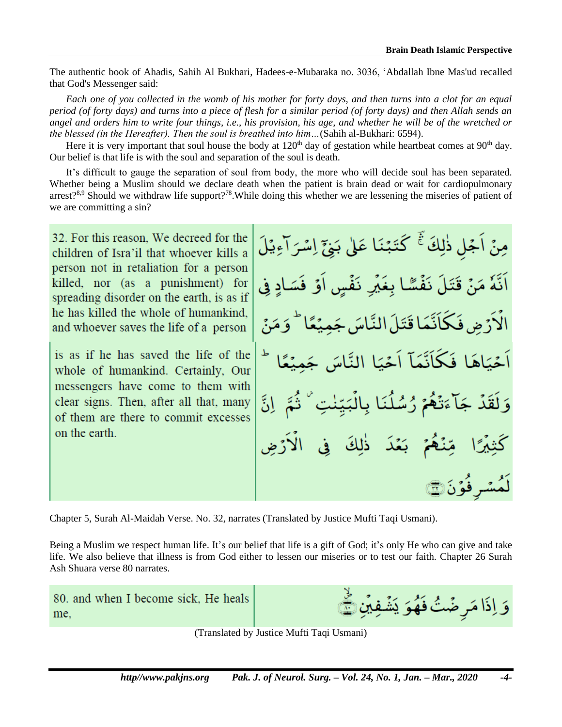The authentic book of Ahadis, Sahih Al Bukhari, Hadees-e-Mubaraka no. 3036, 'Abdallah Ibne Mas'ud recalled that God's Messenger said:

*Each one of you collected in the womb of his mother for forty days, and then turns into a clot for an equal period (of forty days) and turns into a piece of flesh for a similar period (of forty days) and then Allah sends an angel and orders him to write four things, i.e., his provision, his age, and whether he will be of the wretched or the blessed (in the Hereafter). Then the soul is breathed into him…*(Sahih al-Bukhari: 6594).

Here it is very important that soul house the body at  $120<sup>th</sup>$  day of gestation while heartbeat comes at  $90<sup>th</sup>$  day. Our belief is that life is with the soul and separation of the soul is death.

It's difficult to gauge the separation of soul from body, the more who will decide soul has been separated. Whether being a Muslim should we declare death when the patient is brain dead or wait for cardiopulmonary  $\arrest$ <sup>8,9</sup> Should we withdraw life support?<sup>78</sup>. While doing this whether we are lessening the miseries of patient of we are committing a sin?

32. For this reason. We decreed for the children of Isra'il that whoever kills a person not in retaliation for a person killed, nor (as a punishment) for spreading disorder on the earth, is as if he has killed the whole of humankind. and whoever saves the life of a person

is as if he has saved the life of the whole of humankind. Certainly, Our messengers have come to them with clear signs. Then, after all that, many of them are there to commit excesses on the earth.

مِنْ أَجْلِ ذٰلِكَ ۚ كَتَبَنَّنَا عَلَىٰ بَيْنَ إِسْرَ أَءِيْلَ ا قَتَا َ كأتبئ آ ذلكَ مُشر فَوَّنَ۞

Chapter 5, Surah Al-Maidah Verse. No. 32, narrates (Translated by Justice Mufti Taqi Usmani).

Being a Muslim we respect human life. It's our belief that life is a gift of God; it's only He who can give and take life. We also believe that illness is from God either to lessen our miseries or to test our faith. Chapter 26 Surah Ash Shuara verse 80 narrates.

80. and when I become sick, He heals me.

وَ إِذَا مَرِ ضَمْتُ فَهُوَ يَشۡ

(Translated by Justice Mufti Taqi Usmani)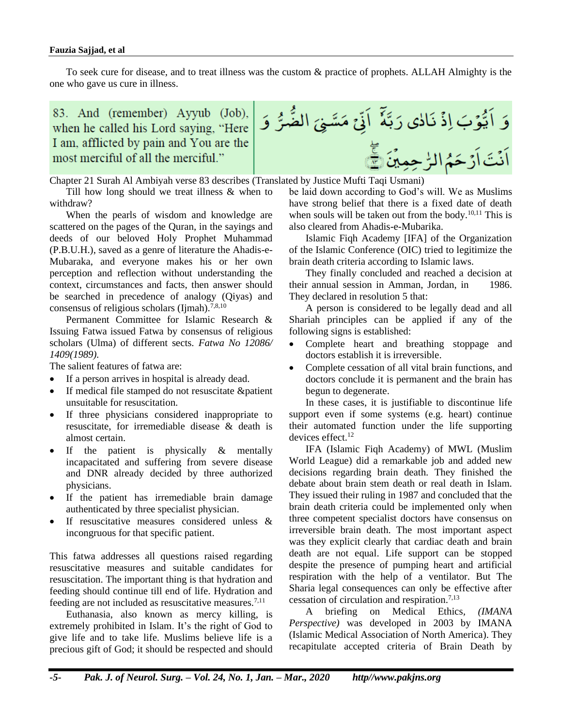#### **Fauzia Sajjad, et al**

To seek cure for disease, and to treat illness was the custom & practice of prophets. ALLAH Almighty is the one who gave us cure in illness.

83. And (remember) Ayyub (Job), when he called his Lord saying, "Here I am, afflicted by pain and You are the most merciful of all the merciful."

وَ اَيُّوۡبَ اِذۡ نَالٰى رَبَّهٗ ۚ اَنِّیۡ مَسَّـٰئِیَ الضُّـٰرُّ وَ اَنۡتَ اَرۡ حَمُ الرّٰ حِمِيۡنَ ﴾ِۖ

Chapter 21 Surah Al Ambiyah verse 83 describes (Translated by Justice Mufti Taqi Usmani)

Till how long should we treat illness & when to withdraw?

When the pearls of wisdom and knowledge are scattered on the pages of the Quran, in the sayings and deeds of our beloved Holy Prophet Muhammad (P.B.U.H.), saved as a genre of literature the Ahadis-e-Mubaraka, and everyone makes his or her own perception and reflection without understanding the context, circumstances and facts, then answer should be searched in precedence of analogy (Qiyas) and consensus of religious scholars (Ijmah).<sup>7,8,10</sup>

Permanent Committee for Islamic Research & Issuing Fatwa issued Fatwa by consensus of religious scholars (Ulma) of different sects. *Fatwa No 12086/ 1409(1989).*

The salient features of fatwa are:

- If a person arrives in hospital is already dead.
- If medical file stamped do not resuscitate &patient unsuitable for resuscitation.
- If three physicians considered inappropriate to resuscitate, for irremediable disease & death is almost certain.
- If the patient is physically  $\&$  mentally incapacitated and suffering from severe disease and DNR already decided by three authorized physicians.
- If the patient has irremediable brain damage authenticated by three specialist physician.
- If resuscitative measures considered unless  $\&$ incongruous for that specific patient.

This fatwa addresses all questions raised regarding resuscitative measures and suitable candidates for resuscitation. The important thing is that hydration and feeding should continue till end of life. Hydration and feeding are not included as resuscitative measures.<sup>7,11</sup>

Euthanasia, also known as mercy killing, is extremely prohibited in Islam. It's the right of God to give life and to take life. Muslims believe life is a precious gift of God; it should be respected and should be laid down according to God's will. We as Muslims have strong belief that there is a fixed date of death when souls will be taken out from the body.<sup>10,11</sup> This is also cleared from Ahadis-e-Mubarika.

Islamic Fiqh Academy [IFA] of the Organization of the Islamic Conference (OIC) tried to legitimize the brain death criteria according to Islamic laws.

They finally concluded and reached a decision at their annual session in Amman, Jordan, in 1986. They declared in resolution 5 that:

A person is considered to be legally dead and all Shariah principles can be applied if any of the following signs is established:

- Complete heart and breathing stoppage and doctors establish it is irreversible.
- Complete cessation of all vital brain functions, and doctors conclude it is permanent and the brain has begun to degenerate.

In these cases, it is justifiable to discontinue life support even if some systems (e.g. heart) continue their automated function under the life supporting devices effect. 12

IFA (Islamic Fiqh Academy) of MWL (Muslim World League) did a remarkable job and added new decisions regarding brain death. They finished the debate about brain stem death or real death in Islam. They issued their ruling in 1987 and concluded that the brain death criteria could be implemented only when three competent specialist doctors have consensus on irreversible brain death. The most important aspect was they explicit clearly that cardiac death and brain death are not equal. Life support can be stopped despite the presence of pumping heart and artificial respiration with the help of a ventilator. But The Sharia legal consequences can only be effective after cessation of circulation and respiration. 7,13

A briefing on Medical Ethics*, (IMANA Perspective)* was developed in 2003 by IMANA (Islamic Medical Association of North America). They recapitulate accepted criteria of Brain Death by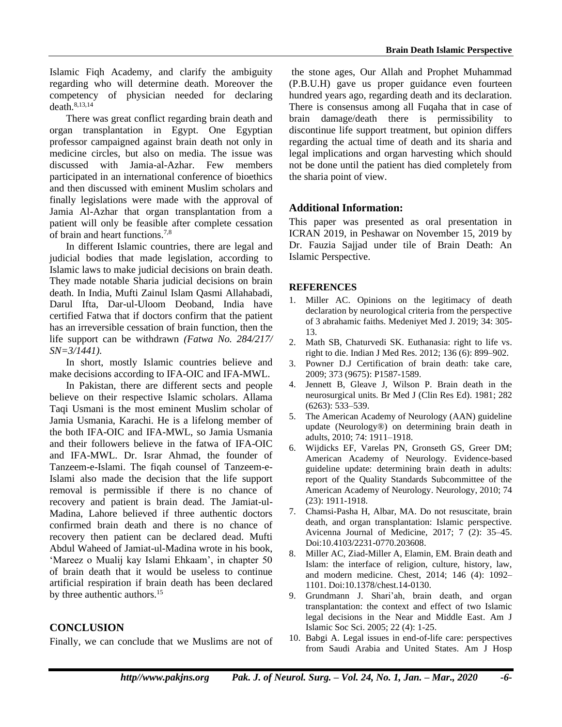Islamic Fiqh Academy, and clarify the ambiguity regarding who will determine death. Moreover the competency of physician needed for declaring  $death.^{8,13,14}$ 

There was great conflict regarding brain death and organ transplantation in Egypt. One Egyptian professor campaigned against brain death not only in medicine circles, but also on media. The issue was discussed with Jamia-al-Azhar. Few members participated in an international conference of bioethics and then discussed with eminent Muslim scholars and finally legislations were made with the approval of Jamia Al-Azhar that organ transplantation from a patient will only be feasible after complete cessation of brain and heart functions. 7,8

In different Islamic countries, there are legal and judicial bodies that made legislation, according to Islamic laws to make judicial decisions on brain death. They made notable Sharia judicial decisions on brain death. In India, Mufti Zainul Islam Qasmi Allahabadi, Darul Ifta, Dar-ul-Uloom Deoband, India have certified Fatwa that if doctors confirm that the patient has an irreversible cessation of brain function, then the life support can be withdrawn *(Fatwa No. 284/217/ SN=3/1441).*

In short, mostly Islamic countries believe and make decisions according to IFA-OIC and IFA-MWL.

In Pakistan, there are different sects and people believe on their respective Islamic scholars. Allama Taqi Usmani is the most eminent Muslim scholar of Jamia Usmania, Karachi. He is a lifelong member of the both IFA-OIC and IFA-MWL, so Jamia Usmania and their followers believe in the fatwa of IFA-OIC and IFA-MWL. Dr. Israr Ahmad, the founder of Tanzeem-e-Islami. The fiqah counsel of Tanzeem-e-Islami also made the decision that the life support removal is permissible if there is no chance of recovery and patient is brain dead. The Jamiat-ul-Madina, Lahore believed if three authentic doctors confirmed brain death and there is no chance of recovery then patient can be declared dead. Mufti Abdul Waheed of Jamiat-ul-Madina wrote in his book, 'Mareez o Mualij kay Islami Ehkaam', in chapter 50 of brain death that it would be useless to continue artificial respiration if brain death has been declared by three authentic authors.<sup>15</sup>

## **CONCLUSION**

Finally, we can conclude that we Muslims are not of

the stone ages, Our Allah and Prophet Muhammad (P.B.U.H) gave us proper guidance even fourteen hundred years ago, regarding death and its declaration. There is consensus among all Fuqaha that in case of brain damage/death there is permissibility to discontinue life support treatment, but opinion differs regarding the actual time of death and its sharia and legal implications and organ harvesting which should not be done until the patient has died completely from the sharia point of view.

## **Additional Information:**

This paper was presented as oral presentation in ICRAN 2019, in Peshawar on November 15, 2019 by Dr. Fauzia Sajjad under tile of Brain Death: An Islamic Perspective.

#### **REFERENCES**

- 1. Miller AC. Opinions on the legitimacy of death declaration by neurological criteria from the perspective of 3 abrahamic faiths. Medeniyet Med J. 2019; 34: 305- 13.
- 2. Math SB, Chaturvedi SK. Euthanasia: right to life vs. right to die. Indian J Med Res. 2012; 136 (6): 899–902.
- 3. Powner D.J Certification of brain death: take care, 2009; 373 (9675): P1587-1589.
- 4. Jennett B, Gleave J, Wilson P. Brain death in the neurosurgical units. [Br Med J \(Clin Res Ed\).](https://www.ncbi.nlm.nih.gov/pmc/articles/PMC1504374/) 1981; 282 (6263): 533–539.
- 5. The American Academy of Neurology (AAN) guideline update (Neurology®) on determining brain death in adults, 2010; 74: 1911–1918.
- 6. Wijdicks EF, Varelas PN, Gronseth GS, Greer DM; American Academy of Neurology. Evidence-based guideline update: determining brain death in adults: report of the Quality Standards Subcommittee of the American Academy of Neurology. Neurology, 2010; 74 (23): 1911-1918.
- 7. Chamsi-Pasha H, Albar, MA. Do not resuscitate, brain death, and organ transplantation: Islamic perspective. Avicenna Journal of Medicine, 2017; 7 (2): 35–45. Doi:10.4103/2231-0770.203608.
- 8. Miller AC, Ziad-Miller A, Elamin, EM. Brain death and Islam: the interface of religion, culture, history, law, and modern medicine. Chest, 2014; 146 (4): 1092– 1101. Doi:10.1378/chest.14-0130.
- 9. Grundmann J. Shari'ah, brain death, and organ transplantation: the context and effect of two Islamic legal decisions in the Near and Middle East. Am J Islamic Soc Sci. 2005; 22 (4): 1-25.
- 10. Babgi A. Legal issues in end-of-life care: perspectives from Saudi Arabia and United States. Am J Hosp